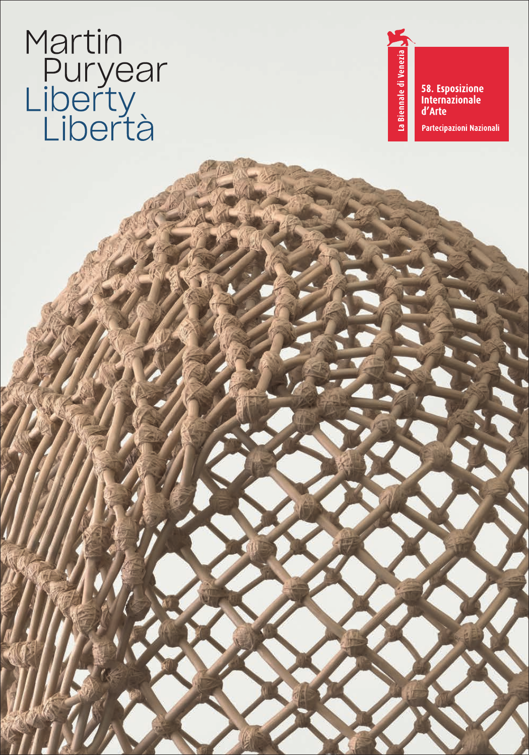# Martin<br>Puryear<br>Liberty<br>Libertà

58. Esposizione<br>Internazionale d'Arte Partecipazioni Nazionali

La Biennale di Venezia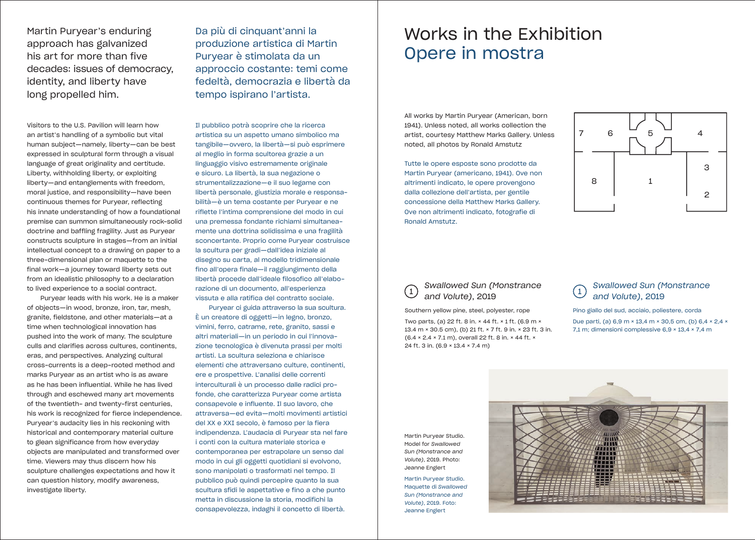Martin Puryear's enduring approach has galvanized his art for more than five decades: issues of democracy, identity, and liberty have long propelled him.

Visitors to the U.S. Pavilion will learn how an artist's handling of a symbolic but vital human subject—namely, liberty—can be best expressed in sculptural form through a visual language of great originality and certitude. Liberty, withholding liberty, or exploiting liberty—and entanglements with freedom, moral justice, and responsibility—have been continuous themes for Puryear, reflecting his innate understanding of how a foundational premise can summon simultaneously rock-solid doctrine and baffling fragility. Just as Puryear constructs sculpture in stages—from an initial intellectual concept to a drawing on paper to a three-dimensional plan or maquette to the final work—a journey toward liberty sets out from an idealistic philosophy to a declaration to lived experience to a social contract.

Puryear leads with his work. He is a maker of objects—in wood, bronze, iron, tar, mesh, granite, fieldstone, and other materials—at a time when technological innovation has pushed into the work of many. The sculpture culls and clarifies across cultures, continents, eras, and perspectives. Analyzing cultural cross-currents is a deep-rooted method and marks Puryear as an artist who is as aware as he has been influential. While he has lived through and eschewed many art movements of the twentieth- and twenty-first centuries, his work is recognized for fierce independence. Puryear's audacity lies in his reckoning with historical and contemporary material culture to glean significance from how everyday objects are manipulated and transformed over time. Viewers may thus discern how his sculpture challenges expectations and how it can question history, modify awareness, investigate liberty.

Da più di cinquant'anni la produzione artistica di Martin Puryear è stimolata da un approccio costante: temi come fedeltà, democrazia e libertà da tempo ispirano l'artista.

Il pubblico potrà scoprire che la ricerca artistica su un aspetto umano simbolico ma tangibile—ovvero, la libertà—si può esprimere al meglio in forma scultorea grazie a un linguaggio visivo estremamente originale e sicuro. La libertà, la sua negazione o strumentalizzazione—e il suo legame con libertà personale, giustizia morale e responsabilità—è un tema costante per Puryear e ne riflette l'intima comprensione del modo in cui una premessa fondante richiami simultaneamente una dottrina solidissima e una fragilità sconcertante. Proprio come Puryear costruisce la scultura per gradi—dall'idea iniziale al disegno su carta, al modello tridimensionale fino all'opera finale—il raggiungimento della libertà procede dall'ideale filosofico all'elaborazione di un documento, all'esperienza vissuta e alla ratifica del contratto sociale.

Puryear ci guida attraverso la sua scultura. È un creatore di oggetti—in legno, bronzo, vimini, ferro, catrame, rete, granito, sassi e altri materiali—in un periodo in cui l'innovazione tecnologica è divenuta prassi per molti artisti. La scultura seleziona e chiarisce elementi che attraversano culture, continenti, ere e prospettive. L'analisi delle correnti interculturali è un processo dalle radici profonde, che caratterizza Puryear come artista consapevole e influente. Il suo lavoro, che attraversa—ed evita—molti movimenti artistici del XX e XXI secolo, è famoso per la fiera indipendenza. L'audacia di Puryear sta nel fare i conti con la cultura materiale storica e contemporanea per estrapolare un senso dal modo in cui gli oggetti quotidiani si evolvono, sono manipolati o trasformati nel tempo. Il pubblico può quindi percepire quanto la sua scultura sfidi le aspettative e fino a che punto metta in discussione la storia, modifichi la consapevolezza, indaghi il concetto di libertà.

## Works in the Exhibition Opere in mostra

All works by Martin Puryear (American, born 1941). Unless noted, all works collection the artist, courtesy Matthew Marks Gallery. Unless noted, all photos by Ronald Amstutz

Tutte le opere esposte sono prodotte da Martin Puryear (americano, 1941). Ove non altrimenti indicato, le opere provengono dalla collezione dell'artista, per gentile concessione della Matthew Marks Gallery. Ove non altrimenti indicato, fotografie di Ronald Amstutz.



# *and Volute)*, 2019

Southern yellow pine, steel, polyester, rope Two parts, (a) 22 ft. 8 in. × 44 ft. × 1 ft. (6.9 m × 13.4 m × 30.5 cm), (b) 21 ft. × 7 ft. 9 in. × 23 ft. 3 in. (6.4 × 2.4 × 7.1 m), overall 22 ft. 8 in. × 44 ft. × 24 ft. 3 in. (6.9 × 13.4 × 7.4 m)

#### *Swallowed Sun (Monstrance*  <sup>1</sup> <sup>1</sup> *Swallowed Sun (Monstrance and Volute)*, 2019

Pino giallo del sud, acciaio, poliestere, corda Due parti, (a) 6,9 m × 13,4 m × 30,5 cm, (b) 6,4 × 2,4 × 7,1 m; dimensioni complessive 6,9 × 13,4 × 7,4 m

Martin Puryear Studio. Model for *Swallowed Sun (Monstrance and Volute)*, 2019. Photo: Jeanne Englert

Martin Puryear Studio. Maquette di *Swallowed Sun (Monstrance and Volute)*, 2019. Foto: Jeanne Englert

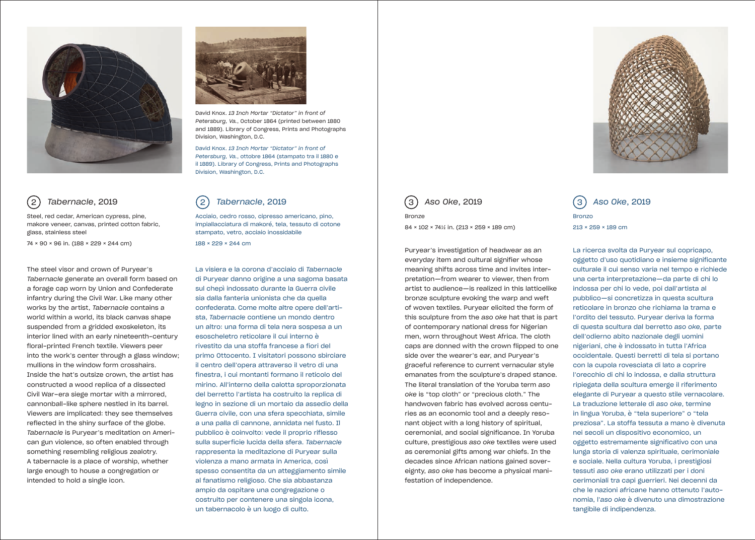

## *Tabernacle*, 2019

74 × 90 × 96 in. (188 × 229 × 244 cm)

Steel, red cedar, American cypress, pine, makore veneer, canvas, printed cotton fabric, glass, stainless steel

The steel visor and crown of Puryear's *Tabernacle* generate an overall form based on a forage cap worn by Union and Confederate infantry during the Civil War. Like many other works by the artist, *Tabernacle* contains a world within a world, its black canvas shape suspended from a gridded exoskeleton, its interior lined with an early nineteenth-century floral-printed French textile. Viewers peer into the work's center through a glass window; mullions in the window form crosshairs. Inside the hat's outsize crown, the artist has constructed a wood replica of a dissected Civil War–era siege mortar with a mirrored, cannonball-like sphere nestled in its barrel. Viewers are implicated: they see themselves reflected in the shiny surface of the globe. *Tabernacle* is Puryear's meditation on American gun violence, so often enabled through something resembling religious zealotry. A tabernacle is a place of worship, whether large enough to house a congregation or intended to hold a single icon.



David Knox. *13 Inch Mortar "Dictator" in front of Petersburg, Va.*, October 1864 (printed between 1880 and 1889). Library of Congress, Prints and Photographs Division, Washington, D.C.

David Knox. *13 Inch Mortar "Dictator" in front of Petersburg, Va.*, ottobre 1864 (stampato tra il 1880 e il 1889). Library of Congress, Prints and Photographs Division, Washington, D.C.

#### *Tabernacle*, 2019 2) Tabernacle, 2019 (2) Tabernacle, 2019 | (3) Aso Oke, 2019 (3) Aso Oke, 2019

Acciaio, cedro rosso, cipresso americano, pino, impiallacciatura di makoré, tela, tessuto di cotone stampato, vetro, acciaio inossidabile 188 × 229 × 244 cm

La visiera e la corona d'acciaio di *Tabernacle*  di Puryear danno origine a una sagoma basata sul chepì indossato durante la Guerra civile sia dalla fanteria unionista che da quella confederata. Come molte altre opere dell'artista, *Tabernacle* contiene un mondo dentro un altro: una forma di tela nera sospesa a un esoscheletro reticolare il cui interno è rivestito da una stoffa francese a fiori del primo Ottocento. I visitatori possono sbirciare il centro dell'opera attraverso il vetro di una finestra, i cui montanti formano il reticolo del mirino. All'interno della calotta sproporzionata del berretto l'artista ha costruito la replica di legno in sezione di un mortaio da assedio della Guerra civile, con una sfera specchiata, simile a una palla di cannone, annidata nel fusto. Il pubblico è coinvolto: vede il proprio riflesso sulla superficie lucida della sfera. *Tabernacle* rappresenta la meditazione di Puryear sulla violenza a mano armata in America, così spesso consentita da un atteggiamento simile al fanatismo religioso. Che sia abbastanza ampio da ospitare una congregazione o costruito per contenere una singola icona, un tabernacolo è un luogo di culto.

*Aso Oke*, 2019 3 3

Bronze

84 × 102 × 741/2 in. (213 × 259 × 189 cm)

Puryear's investigation of headwear as an everyday item and cultural signifier whose meaning shifts across time and invites interpretation—from wearer to viewer, then from artist to audience—is realized in this latticelike bronze sculpture evoking the warp and weft of woven textiles. Puryear elicited the form of this sculpture from the *aso oke* hat that is part of contemporary national dress for Nigerian men, worn throughout West Africa. The cloth caps are donned with the crown flipped to one side over the wearer's ear, and Puryear's graceful reference to current vernacular style emanates from the sculpture's draped stance. The literal translation of the Yoruba term *aso oke* is "top cloth" or "precious cloth." The handwoven fabric has evolved across centuries as an economic tool and a deeply resonant object with a long history of spiritual, ceremonial, and social significance. In Yoruba culture, prestigious *aso oke* textiles were used as ceremonial gifts among war chiefs. In the decades since African nations gained sovereignty, *aso oke* has become a physical manifestation of independence.



Bronzo 213 × 259 × 189 cm

La ricerca svolta da Puryear sul copricapo, oggetto d'uso quotidiano e insieme significante culturale il cui senso varia nel tempo e richiede una certa interpretazione—da parte di chi lo indossa per chi lo vede, poi dall'artista al pubblico—si concretizza in questa scultura reticolare in bronzo che richiama la trama e l'ordito del tessuto. Puryear deriva la forma di questa scultura dal berretto *aso oke,* parte dell'odierno abito nazionale degli uomini nigeriani, che è indossato in tutta l'Africa occidentale. Questi berretti di tela si portano con la cupola rovesciata di lato a coprire l'orecchio di chi lo indossa, e dalla struttura ripiegata della scultura emerge il riferimento elegante di Puryear a questo stile vernacolare. La traduzione letterale di *aso oke*, termine in lingua Yoruba, è "tela superiore" o "tela preziosa". La stoffa tessuta a mano è divenuta nei secoli un dispositivo economico, un oggetto estremamente significativo con una lunga storia di valenza spirituale, cerimoniale e sociale. Nella cultura Yoruba, i prestigiosi tessuti *aso oke* erano utilizzati per i doni cerimoniali tra capi guerrieri. Nei decenni da che le nazioni africane hanno ottenuto l'autonomia, l'*aso oke* è divenuto una dimostrazione tangibile di indipendenza.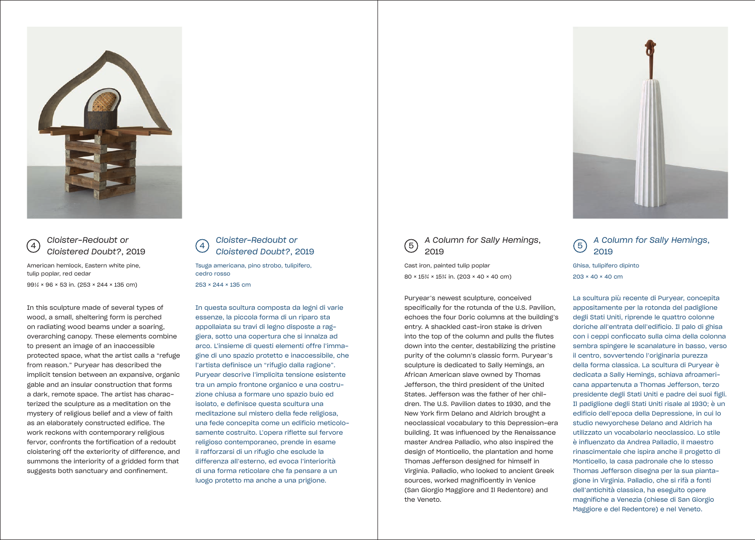

#### *Cloister-Redoubt or Cloistered Doubt?*, 2019

American hemlock, Eastern white pine, tulip poplar, red cedar

991/2 × 96 × 53 in. (253 × 244 × 135 cm)

In this sculpture made of several types of wood, a small, sheltering form is perched on radiating wood beams under a soaring, overarching canopy. These elements combine to present an image of an inaccessible protected space, what the artist calls a "refuge from reason." Puryear has described the implicit tension between an expansive, organic gable and an insular construction that forms a dark, remote space. The artist has characterized the sculpture as a meditation on the mystery of religious belief and a view of faith as an elaborately constructed edifice. The work reckons with contemporary religious fervor, confronts the fortification of a redoubt cloistering off the exteriority of difference, and summons the interiority of a gridded form that suggests both sanctuary and confinement.



Tsuga americana, pino strobo, tulipifero, cedro rosso 253 × 244 × 135 cm

In questa scultura composta da legni di varie essenze, la piccola forma di un riparo sta appollaiata su travi di legno disposte a raggiera, sotto una copertura che si innalza ad arco. L'insieme di questi elementi offre l'immagine di uno spazio protetto e inaccessibile, che l'artista definisce un "rifugio dalla ragione". Puryear descrive l'implicita tensione esistente tra un ampio frontone organico e una costruzione chiusa a formare uno spazio buio ed isolato, e definisce questa scultura una meditazione sul mistero della fede religiosa, una fede concepita come un edificio meticolosamente costruito. L'opera riflette sul fervore religioso contemporaneo, prende in esame il rafforzarsi di un rifugio che esclude la differenza all'esterno, ed evoca l'interiorità di una forma reticolare che fa pensare a un luogo protetto ma anche a una prigione.



Cast iron, painted tulip poplar 80 × 15<sup>3</sup>/<sub>4</sub> × 15<sup>3</sup>/<sub>4</sub> in. (203 × 40 × 40 cm)

Puryear's newest sculpture, conceived specifically for the rotunda of the U.S. Pavilion, echoes the four Doric columns at the building's entry. A shackled cast-iron stake is driven into the top of the column and pulls the flutes down into the center, destabilizing the pristine purity of the column's classic form. Puryear's sculpture is dedicated to Sally Hemings, an African American slave owned by Thomas Jefferson, the third president of the United States. Jefferson was the father of her children. The U.S. Pavilion dates to 1930, and the New York firm Delano and Aldrich brought a neoclassical vocabulary to this Depression-era building. It was influenced by the Renaissance master Andrea Palladio, who also inspired the design of Monticello, the plantation and home Thomas Jefferson designed for himself in Virginia. Palladio, who looked to ancient Greek sources, worked magnificently in Venice (San Giorgio Maggiore and Il Redentore) and the Veneto.



#### *A Column for Sally Hemings*, 2019

Ghisa, tulipifero dipinto 203 × 40 × 40 cm

La scultura più recente di Puryear, concepita appositamente per la rotonda del padiglione degli Stati Uniti, riprende le quattro colonne doriche all'entrata dell'edificio. Il palo di ghisa con i ceppi conficcato sulla cima della colonna sembra spingere le scanalature in basso, verso il centro, sovvertendo l'originaria purezza della forma classica. La scultura di Puryear è dedicata a Sally Hemings, schiava afroamericana appartenuta a Thomas Jefferson, terzo presidente degli Stati Uniti e padre dei suoi figli. Il padiglione degli Stati Uniti risale al 1930; è un edificio dell'epoca della Depressione, in cui lo studio newyorchese Delano and Aldrich ha utilizzato un vocabolario neoclassico. Lo stile è influenzato da Andrea Palladio, il maestro rinascimentale che ispira anche il progetto di Monticello, la casa padronale che lo stesso Thomas Jefferson disegna per la sua piantagione in Virginia. Palladio, che si rifà a fonti dell'antichità classica, ha eseguito opere magnifiche a Venezia (chiese di San Giorgio Maggiore e del Redentore) e nel Veneto.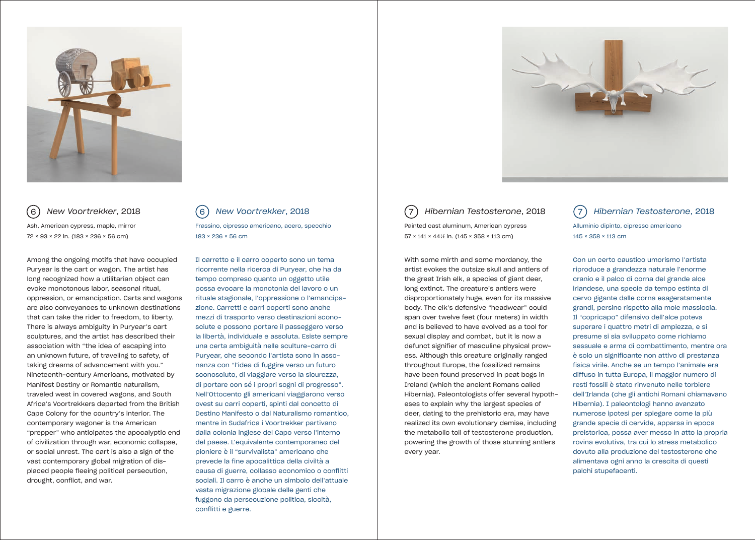

*New Voortrekker*, 2018 Ash, American cypress, maple, mirror 72 × 93 × 22 in. (183 × 236 × 56 cm)

Among the ongoing motifs that have occupied Puryear is the cart or wagon. The artist has long recognized how a utilitarian object can evoke monotonous labor, seasonal ritual, oppression, or emancipation. Carts and wagons are also conveyances to unknown destinations that can take the rider to freedom, to liberty. There is always ambiguity in Puryear's cart sculptures, and the artist has described their association with "the idea of escaping into an unknown future, of traveling to safety, of taking dreams of advancement with you." Nineteenth-century Americans, motivated by Manifest Destiny or Romantic naturalism, traveled west in covered wagons, and South Africa's Voortrekkers departed from the British Cape Colony for the country's interior. The contemporary wagoner is the American "prepper" who anticipates the apocalyptic end of civilization through war, economic collapse, or social unrest. The cart is also a sign of the vast contemporary global migration of displaced people fleeing political persecution, drought, conflict, and war.

*New Voortrekker*, 2018 Frassino, cipresso americano, acero, specchio 183 × 236 × 56 cm 6) New Voortrekker, 2018 (6) New Voortrekker, 2018 | (7) Hibernian Testosterone, 2018 (7

> Il carretto e il carro coperto sono un tema ricorrente nella ricerca di Puryear, che ha da tempo compreso quanto un oggetto utile possa evocare la monotonia del lavoro o un rituale stagionale, l'oppressione o l'emancipazione. Carretti e carri coperti sono anche mezzi di trasporto verso destinazioni sconosciute e possono portare il passeggero verso la libertà, individuale e assoluta. Esiste sempre una certa ambiguità nelle sculture-carro di Puryear, che secondo l'artista sono in assonanza con "l'idea di fuggire verso un futuro sconosciuto, di viaggiare verso la sicurezza, di portare con sé i propri sogni di progresso". Nell'Ottocento gli americani viaggiarono verso ovest su carri coperti, spinti dal concetto di Destino Manifesto o dal Naturalismo romantico, mentre in Sudafrica i Voortrekker partivano dalla colonia inglese del Capo verso l'interno del paese. L'equivalente contemporaneo del pioniere è il "survivalista" americano che prevede la fine apocalittica della civiltà a causa di guerre, collasso economico o conflitti sociali. Il carro è anche un simbolo dell'attuale vasta migrazione globale delle genti che fuggono da persecuzione politica, siccità, conflitti e guerre.

Painted cast aluminum, American cypress 57 × 141 × 441/2 in. (145 × 358 × 113 cm)

With some mirth and some mordancy, the artist evokes the outsize skull and antlers of the great Irish elk, a species of giant deer, long extinct. The creature's antlers were disproportionately huge, even for its massive body. The elk's defensive "headwear" could span over twelve feet (four meters) in width and is believed to have evolved as a tool for sexual display and combat, but it is now a defunct signifier of masculine physical prowess. Although this creature originally ranged throughout Europe, the fossilized remains have been found preserved in peat bogs in Ireland (which the ancient Romans called Hibernia). Paleontologists offer several hypotheses to explain why the largest species of deer, dating to the prehistoric era, may have realized its own evolutionary demise, including the metabolic toll of testosterone production, powering the growth of those stunning antlers every year.



*Hibernian Testosterone*, 2018 Alluminio dipinto, cipresso americano 145 × 358 × 113 cm

Con un certo caustico umorismo l'artista riproduce a grandezza naturale l'enorme cranio e il palco di corna del grande alce irlandese, una specie da tempo estinta di cervo gigante dalle corna esageratamente grandi, persino rispetto alla mole massiccia. Il "copricapo" difensivo dell'alce poteva superare i quattro metri di ampiezza, e si presume si sia sviluppato come richiamo sessuale e arma di combattimento, mentre ora è solo un significante non attivo di prestanza fisica virile. Anche se un tempo l'animale era diffuso in tutta Europa, il maggior numero di resti fossili è stato rinvenuto nelle torbiere dell'Irlanda (che gli antichi Romani chiamavano Hibernia). I paleontologi hanno avanzato numerose ipotesi per spiegare come la più grande specie di cervide, apparsa in epoca preistorica, possa aver messo in atto la propria rovina evolutiva, tra cui lo stress metabolico dovuto alla produzione del testosterone che alimentava ogni anno la crescita di questi palchi stupefacenti.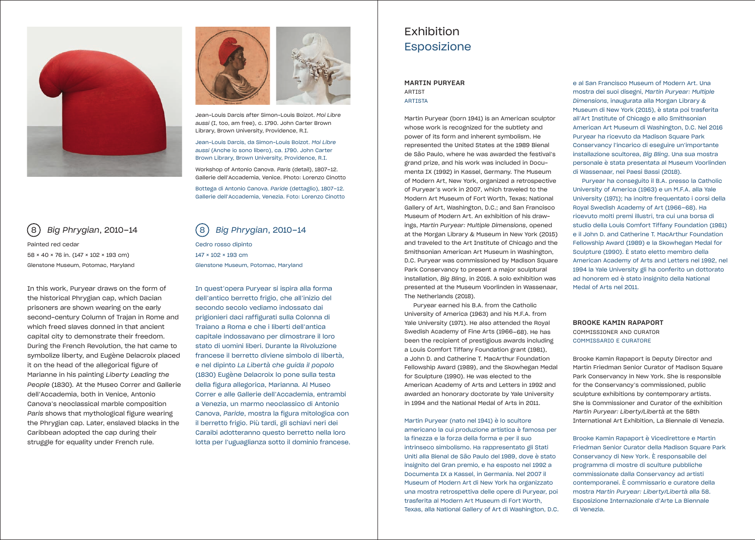



Jean-Louis Darcis after Simon-Louis Boizot. *Moi Libre aussi* (I, too, am free), c. 1790. John Carter Brown Library, Brown University, Providence, R.I.

Jean-Louis Darcis, da Simon-Louis Boizot. *Moi Libre aussi* (Anche io sono libero), ca. 1790. John Carter Brown Library, Brown University, Providence, R.I.

Workshop of Antonio Canova. *Paris* (detail), 1807–12. Gallerie dell'Accademia, Venice. Photo: Lorenzo Cinotto

Bottega di Antonio Canova. *Paride* (dettaglio), 1807–12. Gallerie dell'Accademia, Venezia. Foto: Lorenzo Cinotto

## *Big Phrygian*, 2010–14 8 8

Painted red cedar 58 × 40 × 76 in. (147 × 102 × 193 cm) Glenstone Museum, Potomac, Maryland

In this work, Puryear draws on the form of the historical Phrygian cap, which Dacian prisoners are shown wearing on the early second-century Column of Trajan in Rome and which freed slaves donned in that ancient capital city to demonstrate their freedom. During the French Revolution, the hat came to symbolize liberty, and Eugène Delacroix placed it on the head of the allegorical figure of Marianne in his painting *Liberty Leading the People* (1830)*.* At the Museo Correr and Gallerie dell'Accademia, both in Venice, Antonio Canova's neoclassical marble composition *Paris* shows that mythological figure wearing the Phrygian cap. Later, enslaved blacks in the Caribbean adopted the cap during their struggle for equality under French rule.

### *Big Phrygian*, 2010–14

Cedro rosso dipinto 147 × 102 × 193 cm Glenstone Museum, Potomac, Maryland

In quest'opera Puryear si ispira alla forma dell'antico berretto frigio, che all'inizio del secondo secolo vediamo indossato dai prigionieri daci raffigurati sulla Colonna di Traiano a Roma e che i liberti dell'antica capitale indossavano per dimostrare il loro stato di uomini liberi. Durante la Rivoluzione francese il berretto diviene simbolo di libertà, e nel dipinto *La Libertà che guida il popolo*  (1830) Eugène Delacroix lo pone sulla testa della figura allegorica, Marianna*.* Al Museo Correr e alle Gallerie dell'Accademia, entrambi a Venezia, un marmo neoclassico di Antonio Canova, *Paride*, mostra la figura mitologica con il berretto frigio. Più tardi, gli schiavi neri dei Caraibi adotteranno questo berretto nella loro lotta per l'uguaglianza sotto il dominio francese.

## Exhibition Esposizione

#### MARTIN PURYEAR ARTIST ARTISTA

Martin Puryear (born 1941) is an American sculptor whose work is recognized for the subtlety and power of its form and inherent symbolism. He represented the United States at the 1989 Bienal de São Paulo, where he was awarded the festival's grand prize, and his work was included in Documenta IX (1992) in Kassel, Germany. The Museum of Modern Art, New York, organized a retrospective of Puryear's work in 2007, which traveled to the Modern Art Museum of Fort Worth, Texas; National Gallery of Art, Washington, D.C.; and San Francisco Museum of Modern Art. An exhibition of his drawings, *Martin Puryear: Multiple Dimensions*, opened at the Morgan Library & Museum in New York (2015) and traveled to the Art Institute of Chicago and the Smithsonian American Art Museum in Washington, D.C. Puryear was commissioned by Madison Square Park Conservancy to present a major sculptural installation, *Big Bling,* in 2016. A solo exhibition was presented at the Museum Voorlinden in Wassenaar, The Netherlands (2018).

Puryear earned his B.A. from the Catholic University of America (1963) and his M.F.A. from Yale University (1971). He also attended the Royal Swedish Academy of Fine Arts (1966–68). He has been the recipient of prestigious awards including a Louis Comfort Tiffany Foundation grant (1981), a John D. and Catherine T. MacArthur Foundation Fellowship Award (1989), and the Skowhegan Medal for Sculpture (1990). He was elected to the American Academy of Arts and Letters in 1992 and awarded an honorary doctorate by Yale University in 1994 and the National Medal of Arts in 2011.

Martin Puryear (nato nel 1941) è lo scultore americano la cui produzione artistica è famosa per la finezza e la forza della forma e per il suo intrinseco simbolismo. Ha rappresentato gli Stati Uniti alla Bienal de São Paulo del 1989, dove è stato insignito del Gran premio, e ha esposto nel 1992 a Documenta IX a Kassel, in Germania. Nel 2007 il Museum of Modern Art di New York ha organizzato una mostra retrospettiva delle opere di Puryear, poi trasferita al Modern Art Museum di Fort Worth, Texas, alla National Gallery of Art di Washington, D.C.

e al San Francisco Museum of Modern Art. Una mostra dei suoi disegni, *Martin Puryear: Multiple Dimensions*, inaugurata alla Morgan Library & Museum di New York (2015), è stata poi trasferita all'Art Institute of Chicago e allo Smithsonian American Art Museum di Washington, D.C. Nel 2016 Puryear ha ricevuto da Madison Square Park Conservancy l'incarico di eseguire un'importante installazione scultorea, *Big Bling*. Una sua mostra personale è stata presentata al Museum Voorlinden di Wassenaar, nei Paesi Bassi (2018).

Puryear ha conseguito il B.A. presso la Catholic University of America (1963) e un M.F.A. alla Yale University (1971); ha inoltre frequentato i corsi della Royal Swedish Academy of Art (1966–68). Ha ricevuto molti premi illustri, tra cui una borsa di studio della Louis Comfort Tiffany Foundation (1981) e il John D. and Catherine T. MacArthur Foundation Fellowship Award (1989) e la Skowhegan Medal for Sculpture (1990). È stato eletto membro della American Academy of Arts and Letters nel 1992, nel 1994 la Yale University gli ha conferito un dottorato ad honorem ed è stato insignito della National Medal of Arts nel 2011.

#### BROOKE KAMIN RAPAPORT COMMISSIONER AND CURATOR COMMISSARIO E CURATORE

Brooke Kamin Rapaport is Deputy Director and Martin Friedman Senior Curator of Madison Square Park Conservancy in New York. She is responsible for the Conservancy's commissioned, public sculpture exhibitions by contemporary artists. She is Commissioner and Curator of the exhibition *Martin Puryear: Liberty/Libertà* at the 58th International Art Exhibition, La Biennale di Venezia.

Brooke Kamin Rapaport è Vicedirettore e Martin Friedman Senior Curator della Madison Square Park Conservancy di New York. È responsabile del programma di mostre di sculture pubbliche commissionate dalla Conservancy ad artisti contemporanei. È commissario e curatore della mostra *Martin Puryear: Liberty/Libertà* alla 58. Esposizione Internazionale d'Arte La Biennale di Venezia.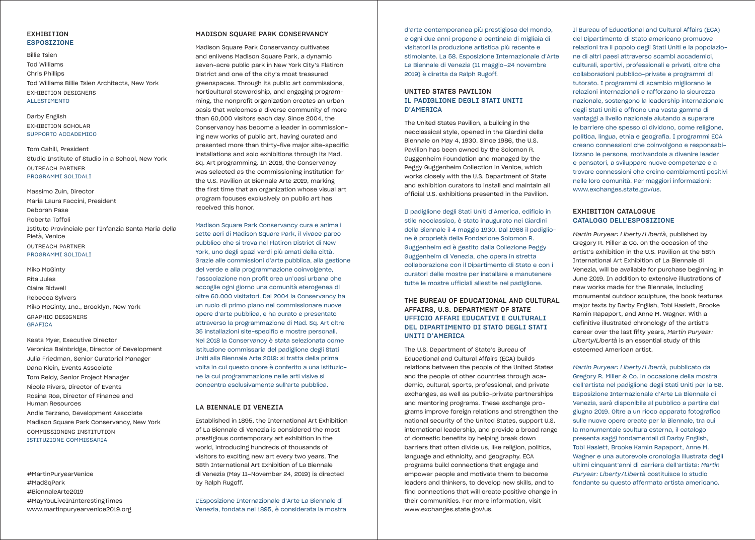#### EXHIBITION ESPOSIZIONE

Billie Tsien Tod Williams Chris Phillips Tod Williams Billie Tsien Architects, New York EXHIBITION DESIGNERS ALLESTIMENTO

#### Darby English EXHIBITION SCHOLAR SUPPORTO ACCADEMICO

Tom Cahill, President Studio Institute of Studio in a School, New York OUTREACH PARTNER PROGRAMMI SOLIDALI

Massimo Zuin, Director Maria Laura Faccini, President Deborah Pase Roberta Toffoli Istituto Provinciale per l'Infanzia Santa Maria della Pietà, Venice OUTREACH PARTNER PROGRAMMI SOLIDALI

#### Miko McGinty Rita Jules

Claire Bidwell Rebecca Sylvers Miko McGinty, Inc., Brooklyn, New York GRAPHIC DESIGNERS GRAFICA

Keats Myer, Executive Director Veronica Bainbridge, Director of Development Julia Friedman, Senior Curatorial Manager Dana Klein, Events Associate Tom Reidy, Senior Project Manager Nicole Rivers, Director of Events Rosina Roa, Director of Finance and Human Resources Andie Terzano, Development Associate Madison Square Park Conservancy, New York COMMISSIONING INSTITUTION ISTITUZIONE COMMISSARIA

#MartinPuryearVenice #MadSqPark #BiennaleArte2019 #MayYouLiveInInterestingTimes www.martinpuryearvenice2019.org

#### MADISON SQUARE PARK CONSERVANCY

Madison Square Park Conservancy cultivates and enlivens Madison Square Park, a dynamic seven-acre public park in New York City's Flatiron District and one of the city's most treasured greenspaces. Through its public art commissions, horticultural stewardship, and engaging programming, the nonprofit organization creates an urban oasis that welcomes a diverse community of more than 60,000 visitors each day. Since 2004, the Conservancy has become a leader in commissioning new works of public art, having curated and presented more than thirty-five major site-specific installations and solo exhibitions through its Mad. Sq. Art programming. In 2018, the Conservancy was selected as the commissioning institution for the U.S. Pavilion at Biennale Arte 2019, marking the first time that an organization whose visual art program focuses exclusively on public art has received this honor.

Madison Square Park Conservancy cura e anima i sette acri di Madison Square Park, il vivace parco pubblico che si trova nel Flatiron District di New York, uno degli spazi verdi più amati della città. Grazie alle commissioni d'arte pubblica, alla gestione del verde e alla programmazione coinvolgente, l'associazione non profit crea un'oasi urbana che accoglie ogni giorno una comunità eterogenea di oltre 60.000 visitatori. Dal 2004 la Conservancy ha un ruolo di primo piano nel commissionare nuove opere d'arte pubblica, e ha curato e presentato attraverso la programmazione di Mad. Sq. Art oltre 35 installazioni site-specific e mostre personali. Nel 2018 la Conservancy è stata selezionata come istituzione commissaria del padiglione degli Stati Uniti alla Biennale Arte 2019: si tratta della prima volta in cui questo onore è conferito a una istituzione la cui programmazione nelle arti visive si concentra esclusivamente sull'arte pubblica.

#### LA BIENNALE DI VENEZIA

Established in 1895, the International Art Exhibition of La Biennale di Venezia is considered the most prestigious contemporary art exhibition in the world, introducing hundreds of thousands of visitors to exciting new art every two years. The 58th International Art Exhibition of La Biennale di Venezia (May 11–November 24, 2019) is directed by Ralph Rugoff.

L'Esposizione Internazionale d'Arte La Biennale di Venezia, fondata nel 1895, è considerata la mostra

d'arte contemporanea più prestigiosa del mondo, e ogni due anni propone a centinaia di migliaia di visitatori la produzione artistica più recente e stimolante. La 58. Esposizione Internazionale d'Arte La Biennale di Venezia (11 maggio–24 novembre 2019) è diretta da Ralph Rugoff.

#### UNITED STATES PAVILION IL PADIGLIONE DEGLI STATI UNITI D'AMERICA

The United States Pavilion, a building in the neoclassical style, opened in the Giardini della Biennale on May 4, 1930. Since 1986, the U.S. Pavilion has been owned by the Solomon R. Guggenheim Foundation and managed by the Peggy Guggenheim Collection in Venice, which works closely with the U.S. Department of State and exhibition curators to install and maintain all official U.S. exhibitions presented in the Pavilion.

Il padiglione degli Stati Uniti d'America, edificio in stile neoclassico, è stato inaugurato nei Giardini della Biennale il 4 maggio 1930. Dal 1986 il padiglione è proprietà della Fondazione Solomon R. Guggenheim ed è gestito dalla Collezione Peggy Guggenheim di Venezia, che opera in stretta collaborazione con il Dipartimento di Stato e con i curatori delle mostre per installare e manutenere tutte le mostre ufficiali allestite nel padiglione.

#### THE BUREAU OF EDUCATIONAL AND CULTURAL AFFAIRS, U.S. DEPARTMENT OF STATE UFFICIO AFFARI EDUCATIVI E CULTURALI DEL DIPARTIMENTO DI STATO DEGLI STATI UNITI D'AMERICA

The U.S. Department of State's Bureau of Educational and Cultural Affairs (ECA) builds relations between the people of the United States and the people of other countries through academic, cultural, sports, professional, and private exchanges, as well as public-private partnerships and mentoring programs. These exchange programs improve foreign relations and strengthen the national security of the United States, support U.S. international leadership, and provide a broad range of domestic benefits by helping break down barriers that often divide us, like religion, politics, language and ethnicity, and geography. ECA programs build connections that engage and empower people and motivate them to become leaders and thinkers, to develop new skills, and to find connections that will create positive change in their communities. For more information, visit www.exchanges.state.gov/us.

Il Bureau of Educational and Cultural Affairs (ECA) del Dipartimento di Stato americano promuove relazioni tra il popolo degli Stati Uniti e la popolazione di altri paesi attraverso scambi accademici, culturali, sportivi, professionali e privati, oltre che collaborazioni pubblico-private e programmi di tutorato. I programmi di scambio migliorano le relazioni internazionali e rafforzano la sicurezza nazionale, sostengono la leadership internazionale degli Stati Uniti e offrono una vasta gamma di vantaggi a livello nazionale aiutando a superare le barriere che spesso ci dividono, come religione, politica, lingua, etnia e geografia. I programmi ECA creano connessioni che coinvolgono e responsabilizzano le persone, motivandole a divenire leader e pensatori, a sviluppare nuove competenze e a trovare connessioni che creino cambiamenti positivi nelle loro comunità. Per maggiori informazioni: www.exchanges.state.gov/us.

#### EXHIBITION CATALOGUE CATALOGO DELL'ESPOSIZIONE

*Martin Puryear: Liberty/Libertà*, published by Gregory R. Miller & Co. on the occasion of the artist's exhibition in the U.S. Pavilion at the 58th International Art Exhibition of La Biennale di Venezia, will be available for purchase beginning in June 2019. In addition to extensive illustrations of new works made for the Biennale, including monumental outdoor sculpture, the book features major texts by Darby English, Tobi Haslett, Brooke Kamin Rapaport, and Anne M. Wagner. With a definitive illustrated chronology of the artist's career over the last fifty years, *Martin Puryear: Liberty/Libertà* is an essential study of this esteemed American artist.

*Martin Puryear: Liberty/Libertà*, pubblicato da Gregory R. Miller & Co. in occasione della mostra dell'artista nel padiglione degli Stati Uniti per la 58. Esposizione Internazionale d'Arte La Biennale di Venezia, sarà disponibile al pubblico a partire dal giugno 2019. Oltre a un ricco apparato fotografico sulle nuove opere create per la Biennale, tra cui la monumentale scultura esterna, il catalogo presenta saggi fondamentali di Darby English, Tobi Haslett, Brooke Kamin Rapaport, Anne M. Wagner e una autorevole cronologia illustrata degli ultimi cinquant'anni di carriera dell'artista: *Martin Puryear: Liberty/Libertà* costituisce lo studio fondante su questo affermato artista americano.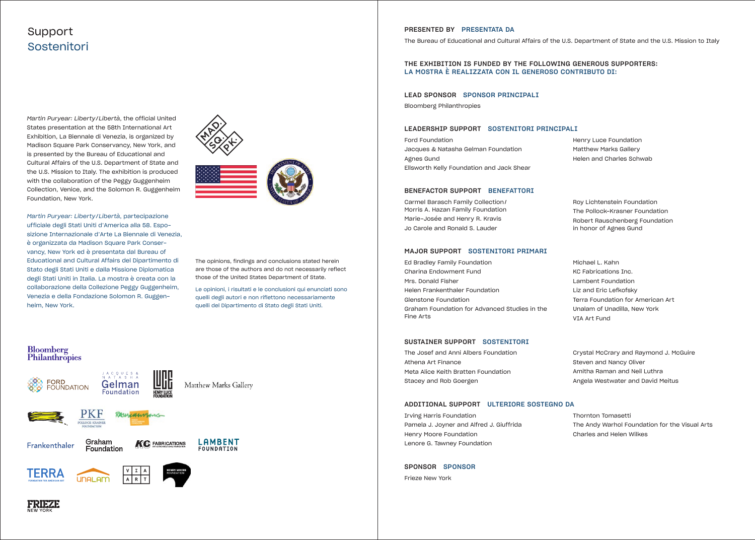## Support Sostenitori

*Martin Puryear: Liberty/Libertà*, the official United States presentation at the 58th International Art Exhibition, La Biennale di Venezia, is organized by Madison Square Park Conservancy, New York, and is presented by the Bureau of Educational and Cultural Affairs of the U.S. Department of State and the U.S. Mission to Italy. The exhibition is produced with the collaboration of the Peggy Guggenheim Collection, Venice, and the Solomon R. Guggenheim Foundation, New York.

*Martin Puryear: Liberty/Libertà*, partecipazione ufficiale degli Stati Uniti d'America alla 58. Esposizione Internazionale d'Arte La Biennale di Venezia, è organizzata da Madison Square Park Conservancy, New York ed è presentata dal Bureau of Educational and Cultural Affairs del Dipartimento di Stato degli Stati Uniti e dalla Missione Diplomatica degli Stati Uniti in Italia. La mostra è creata con la collaborazione della Collezione Peggy Guggenheim, Venezia e della Fondazione Solomon R. Guggenheim, New York.



The opinions, findings and conclusions stated herein are those of the authors and do not necessarily reflect those of the United States Department of State.

Le opinioni, i risultati e le conclusioni qui enunciati sono quelli degli autori e non riflettono necessariamente quelli del Dipartimento di Stato degli Stati Uniti.

#### Bloomberg Philanthropies







Graham Frankenthaler Foundation





**Gelman**<br>Foundation



PRESENTED BY PRESENTATA DA The Bureau of Educational and Cultural Affairs of the U.S. Department of State and the U.S. Mission to Italy

THE EXHIBITION IS FUNDED BY THE FOLLOWING GENEROUS SUPPORTERS: LA MOSTRA È REALIZZATA CON IL GENEROSO CONTRIBUTO DI:

#### LEAD SPONSOR SPONSOR PRINCIPALI

Bloomberg Philanthropies

#### LEADERSHIP SUPPORT SOSTENITORI PRINCIPALI

Ford Foundation Jacques & Natasha Gelman Foundation Agnes Gund Ellsworth Kelly Foundation and Jack Shear

Henry Luce Foundation Matthew Marks Gallery

#### BENEFACTOR SUPPORT BENEFATTORI

Carmel Barasch Family Collection/ Morris A. Hazan Family Foundation Marie-Josée and Henry R. Kravis Jo Carole and Ronald S. Lauder

#### MAJOR SUPPORT SOSTENITORI PRIMARI

Ed Bradley Family Foundation Charina Endowment Fund Mrs. Donald Fisher Helen Frankenthaler Foundation Glenstone Foundation Graham Foundation for Advanced Studies in the Fine Arts

#### SUSTAINER SUPPORT SOSTENITORI

The Josef and Anni Albers Foundation Athena Art Finance Meta Alice Keith Bratten Foundation Stacey and Rob Goergen

#### ADDITIONAL SUPPORT ULTERIORE SOSTEGNO DA

Irving Harris Foundation Pamela J. Joyner and Alfred J. Giuffrida Henry Moore Foundation Lenore G. Tawney Foundation

SPONSOR SPONSOR Frieze New York

Helen and Charles Schwab

Roy Lichtenstein Foundation The Pollock-Krasner Foundation Robert Rauschenberg Foundation in honor of Agnes Gund

Michael L. Kahn KC Fabrications Inc. Lambent Foundation Liz and Eric Lefkofsky Terra Foundation for American Art Unalam of Unadilla, New York VIA Art Fund

Crystal McCrary and Raymond J. McGuire Steven and Nancy Oliver Amitha Raman and Neil Luthra Angela Westwater and David Meitus

Thornton Tomasetti The Andy Warhol Foundation for the Visual Arts Charles and Helen Wilkes